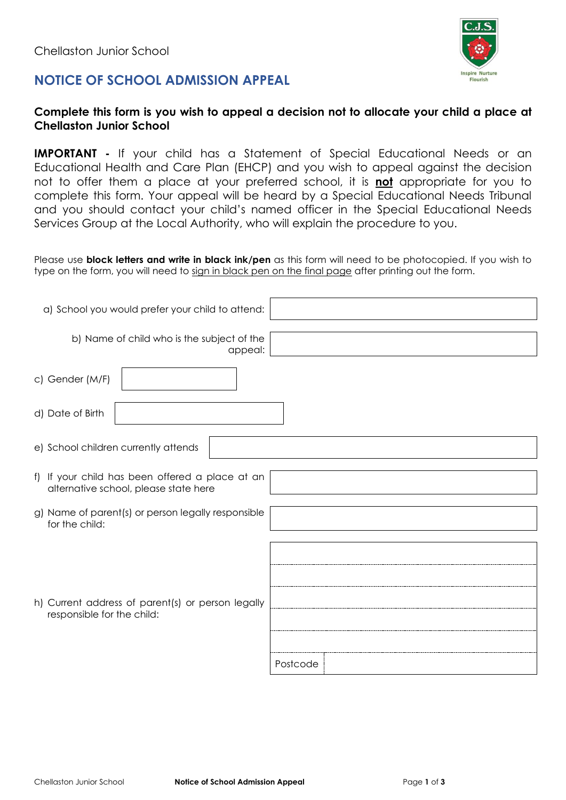



**IMPORTANT -** If your child has a Statement of Special Educational Needs or an Educational Health and Care Plan (EHCP) and you wish to appeal against the decision not to offer them a place at your preferred school, it is **not** appropriate for you to complete this form. Your appeal will be heard by a Special Educational Needs Tribunal and you should contact your child's named officer in the Special Educational Needs Services Group at the Local Authority, who will explain the procedure to you.

Please use **block letters and write in black ink/pen** as this form will need to be photocopied. If you wish to type on the form, you will need to sign in black pen on the final page after printing out the form.

| a) School you would prefer your child to attend:                                         |          |
|------------------------------------------------------------------------------------------|----------|
| b) Name of child who is the subject of the<br>appeal:                                    |          |
| c) Gender (M/F)                                                                          |          |
| d) Date of Birth                                                                         |          |
| e) School children currently attends                                                     |          |
| f) If your child has been offered a place at an<br>alternative school, please state here |          |
| g) Name of parent(s) or person legally responsible<br>for the child:                     |          |
| h) Current address of parent(s) or person legally<br>responsible for the child:          |          |
|                                                                                          | Postcode |

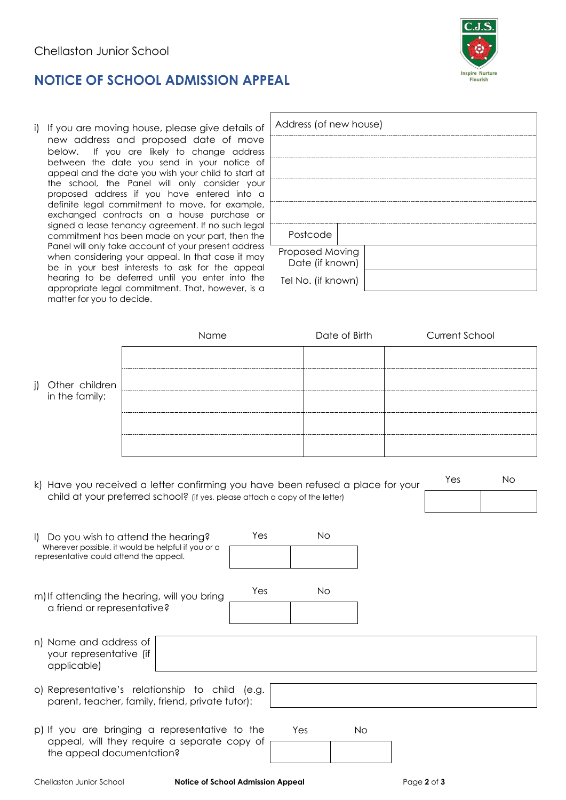

i) If you are moving house, please give details of new address and proposed date of move below. If you are likely to change address between the date you send in your notice of appeal and the date you wish your child to start at the school, the Panel will only consider your proposed address if you have entered into a definite legal commitment to move, for example, exchanged contracts on a house purchase or signed a lease tenancy agreement. If no such legal commitment has been made on your part, then the Panel will only take account of your present address when considering your appeal. In that case it may be in your best interests to ask for the appeal hearing to be deferred until you enter into the appropriate legal commitment. That, however, is a matter for you to decide.

| Address (of new house) |  |
|------------------------|--|
|                        |  |
|                        |  |
|                        |  |
|                        |  |
|                        |  |
|                        |  |
| Postcode               |  |
| Proposed Moving        |  |
| Date (if known)        |  |
| Tel No. (if known)     |  |

|                                                                                                                                                                                     | Name                                                                                           |     |           | Date of Birth |  | <b>Current School</b> |  |
|-------------------------------------------------------------------------------------------------------------------------------------------------------------------------------------|------------------------------------------------------------------------------------------------|-----|-----------|---------------|--|-----------------------|--|
| Other children<br>j)                                                                                                                                                                |                                                                                                |     |           |               |  |                       |  |
| in the family:                                                                                                                                                                      |                                                                                                |     |           |               |  |                       |  |
|                                                                                                                                                                                     |                                                                                                |     |           |               |  |                       |  |
| <b>No</b><br>Yes<br>k) Have you received a letter confirming you have been refused a place for your<br>child at your preferred school? (if yes, please attach a copy of the letter) |                                                                                                |     |           |               |  |                       |  |
|                                                                                                                                                                                     |                                                                                                |     |           |               |  |                       |  |
| I) Do you wish to attend the hearing?<br>Wherever possible, it would be helpful if you or a<br>representative could attend the appeal.                                              |                                                                                                | Yes | <b>No</b> |               |  |                       |  |
|                                                                                                                                                                                     |                                                                                                |     |           |               |  |                       |  |
| m) If attending the hearing, will you bring<br>a friend or representative?                                                                                                          |                                                                                                | Yes | <b>No</b> |               |  |                       |  |
| n) Name and address of<br>your representative (if<br>applicable)                                                                                                                    |                                                                                                |     |           |               |  |                       |  |
| o) Representative's relationship to child (e.g.<br>parent, teacher, family, friend, private tutor):                                                                                 |                                                                                                |     |           |               |  |                       |  |
| the appeal documentation?                                                                                                                                                           | p) If you are bringing a representative to the<br>appeal, will they require a separate copy of |     | Yes       | <b>No</b>     |  |                       |  |

Chellaston Junior School **Notice of School Admission Appeal** Page **2** of **3**